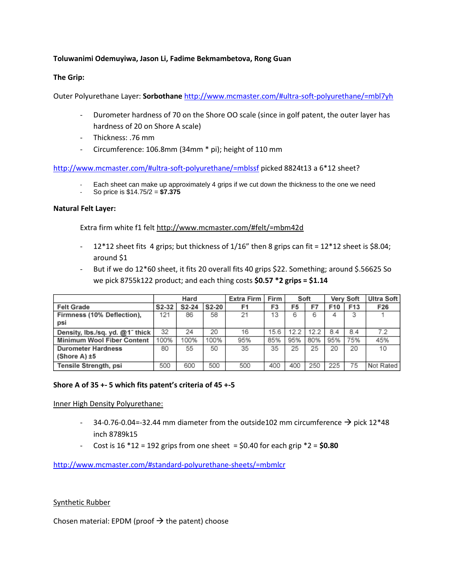### **Toluwanimi Odemuyiwa, Jason Li, Fadime Bekmambetova, Rong Guan**

### **The Grip:**

Outer Polyurethane Layer: **Sorbothane** <http://www.mcmaster.com/#ultra-soft-polyurethane/=mbl7yh>

- Durometer hardness of 70 on the Shore OO scale (since in golf patent, the outer layer has hardness of 20 on Shore A scale)
- Thickness: .76 mm
- Circumference: 106.8mm (34mm \* pi); height of 110 mm

<http://www.mcmaster.com/#ultra-soft-polyurethane/=mblssf> picked 8824t13 a 6\*12 sheet?

- Each sheet can make up approximately 4 grips if we cut down the thickness to the one we need
- So price is \$14.75/2 = **\$7.375**

### **Natural Felt Layer:**

Extra firm white f1 felt<http://www.mcmaster.com/#felt/=mbm42d>

- 12\*12 sheet fits 4 grips; but thickness of  $1/16''$  then 8 grips can fit =  $12*12$  sheet is \$8.04; around \$1
- But if we do 12\*60 sheet, it fits 20 overall fits 40 grips \$22. Something; around \$.56625 So we pick 8755k122 product; and each thing costs **\$0.57 \*2 grips = \$1.14**

|                                 | Hard  |       |       | Extra Firm | Firm           | Soft |      | Verv Soft |     | <b>Ultra Soft</b> |
|---------------------------------|-------|-------|-------|------------|----------------|------|------|-----------|-----|-------------------|
| <b>Felt Grade</b>               | S2-32 | S2-24 | S2-20 | F1         | F <sub>3</sub> | F5   | F7   | F10       | F13 | F26               |
| Firmness (10% Deflection),      | 121   | 86    | 58    | 21         | 13             | 6    | 6    | 4         | з   |                   |
| psi                             |       |       |       |            |                |      |      |           |     |                   |
| Density, Ibs./sq. yd. @1" thick | 32    | 24    | 20    | 16         | 15.6           | 12.2 | 12.2 | 84        | 84  | 72                |
| Minimum Wool Fiber Content      | 100%  | 100%  | 100%  | 95%        | 85%            | 95%  | 80%  | 95%       | 75% | 45%               |
| <b>Durometer Hardness</b>       | 80    | 55    | 50    | 35         | 35             | 25   | 25   | 20        | 20  | 10                |
| $(Shore A) \pm 5$               |       |       |       |            |                |      |      |           |     |                   |
| Tensile Strength, psi           | 500   | 600   | 500   | 500        | 400            | 400  | 250  | 225       | 75  | Not Rated         |

### **Shore A of 35 +- 5 which fits patent's criteria of 45 +-5**

Inner High Density Polyurethane:

- 34-0.76-0.04=-32.44 mm diameter from the outside102 mm circumference  $\rightarrow$  pick 12\*48 inch 8789k15
- Cost is  $16 * 12 = 192$  grips from one sheet  $= $0.40$  for each grip  $*2 = $0.80$

<http://www.mcmaster.com/#standard-polyurethane-sheets/=mbmlcr>

Synthetic Rubber

Chosen material: EPDM (proof  $\rightarrow$  the patent) choose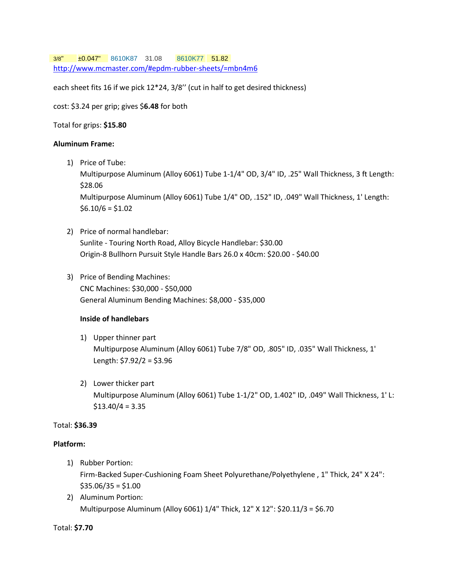3/8" ±0.047" [8610K87](http://www.mcmaster.com/#8610K87) 31.08 [8610K77](http://www.mcmaster.com/#8610K77) 51.82 <http://www.mcmaster.com/#epdm-rubber-sheets/=mbn4m6>

each sheet fits 16 if we pick 12\*24, 3/8'' (cut in half to get desired thickness)

cost: \$3.24 per grip; gives \$**6.48** for both

Total for grips: **\$15.80**

#### **Aluminum Frame:**

1) Price of Tube:

Multipurpose Aluminum (Alloy 6061) Tube 1-1/4" OD, 3/4" ID, .25" Wall Thickness, 3 ft Length: \$28.06

Multipurpose Aluminum (Alloy 6061) Tube 1/4" OD, .152" ID, .049" Wall Thickness, 1' Length:  $$6.10/6 = $1.02$ 

- 2) Price of normal handlebar: Sunlite - Touring North Road, Alloy Bicycle Handlebar: \$30.00 Origin-8 Bullhorn Pursuit Style Handle Bars 26.0 x 40cm: \$20.00 - \$40.00
- 3) Price of Bending Machines: CNC Machines: \$30,000 - \$50,000 General Aluminum Bending Machines: \$8,000 - \$35,000

### **Inside of handlebars**

- 1) Upper thinner part Multipurpose Aluminum (Alloy 6061) Tube 7/8" OD, .805" ID, .035" Wall Thickness, 1' Length: \$7.92/2 = \$3.96
- 2) Lower thicker part Multipurpose Aluminum (Alloy 6061) Tube 1-1/2" OD, 1.402" ID, .049" Wall Thickness, 1' L:  $$13.40/4 = 3.35$

## Total: **\$36.39**

### **Platform:**

- 1) Rubber Portion: Firm-Backed Super-Cushioning Foam Sheet Polyurethane/Polyethylene , 1" Thick, 24" X 24":  $$35.06/35 = $1.00$
- 2) Aluminum Portion: Multipurpose Aluminum (Alloy 6061) 1/4" Thick, 12" X 12": \$20.11/3 = \$6.70

### Total: **\$7.70**